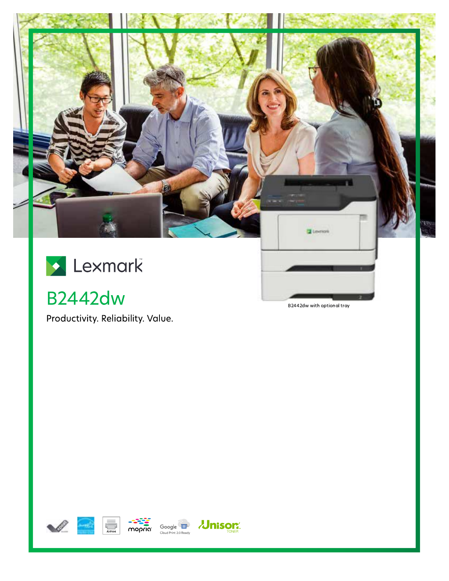

**B2442dw** 

Productivity. Reliability. Value.

B2442dw with optional tray







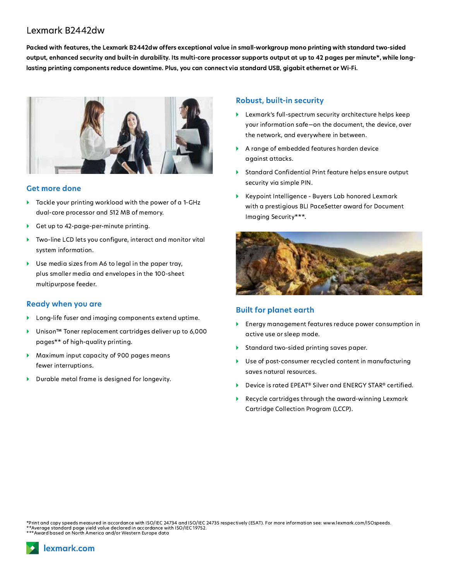# Lexmark B2442dw

Packed with features, the Lexmark B2442dw offers exceptional value in small-workgroup mono printing with standard two-sided output, enhanced security and built-in durability. Its multi-core processor supports output at up to 42 pages per minute\*, while longlasting printing components reduce downtime. Plus, you can connect via standard USB, gigabit ethernet or Wi-Fi.



#### **Get more done**

- Tackle your printing workload with the power of a 1-GHz dual-core processor and 512 MB of memory.
- Get up to 42-page-per-minute printing.
- Two-line LCD lets you configure, interact and monitor vital system information.
- Use media sizes from A6 to legal in the paper tray, Þ. plus smaller media and envelopes in the 100-sheet multipurpose feeder.

#### Ready when you are

- Long-life fuser and imaging components extend uptime.
- Unison<sup>™</sup> Toner replacement cartridges deliver up to 6,000 pages\*\* of high-quality printing.
- Maximum input capacity of 900 pages means fewer interruptions.
- Durable metal frame is designed for longevity.

### Robust, built-in security

- Lexmark's full-spectrum security architecture helps keep your information safe-on the document, the device, over the network, and everywhere in between.
- A range of embedded features harden device against attacks.
- Standard Confidential Print feature helps ensure output security via simple PIN.
- Keypoint Intelligence Buyers Lab honored Lexmark with a prestigious BLI PaceSetter award for Document Imaging Security\*\*\*.



## **Built for planet earth**

- Energy management features reduce power consumption in active use or sleep mode.
- Standard two-sided printing saves paper.  $\blacktriangleright$
- Use of post-consumer recycled content in manufacturing  $\blacktriangleright$ saves natural resources.
- Device is rated EPEAT<sup>®</sup> Silver and ENERGY STAR<sup>®</sup> certified.
- Recycle cartridges through the award-winning Lexmark Cartridge Collection Program (LCCP).

Print and copy speeds measured in accordance with ISO/IEC 24734 and ISO/IEC 24735 respectively (ESAT). For more information see: www.lexmark.com/ISOspeeds. \*\*Average standard page yield value declared in accordance with ISO/IEC 19752.<br>\*\*Average standard page yield value declared in accordance with ISO/IEC 19752.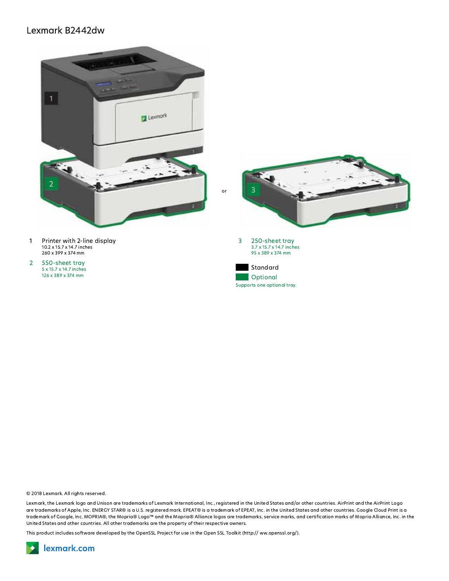

- I Printer With 2-fine display<br>10.2 x 15.7 x 14.7 inches Printer with 2-line display<br>10.2 x 15.7 x 14.7 inches<br>260 x 399 x 374 mm<br>550-sheet tray<br>5 x 15.7 x 14.7 inches<br>126 x 389 x 374 mm
- $5 \times 15.7 \times 14.7$  inches<br>126 x 389 x 374 mm

**or** 



© 2018 Lexmark. All rights reserved.<br>Lexmark, the Lexmark logo and Uniso<br>are trademarks of Apple, Inc. ENERGY<br>trademark of Google, Inc. MOPRIA®,<br>United States and other countries. All<br>This product includes software develo Lexmark, the Lexmark logo and Unison are trademarks of Lexmark International, Inc., registered in the United States and/or other countries. AirPrint and the AirPrint Logo are trademarks of Apple, Inc. ENERGY STAR® is a U.S. registered mark. EPEAT® is a trademark of EPEAT, Inc. in the United States and other countries. Google Cloud Print is a trademark of Google, Inc. MOPRIA®, the Mopria® Logo™ and the Mopria® Alliance logos are trademarks, service marks, and certification marks of Mopria Alliance, Inc. in the<br>United States and other countries. All other trade © 2018 Lexmark. All rights reserved.<br>Lexmark, the Lexmark logo and Unison are trademarks of Lexmark International, Inc., registered in the trademarks of Apple, Inc. ENERGY STAR® is a U.S. registered mark. EPEAT® is a trade

This product includes software developed by the OpenSSL Project for use in the Open SSL Toolkit (http://ww.openssl.org/).